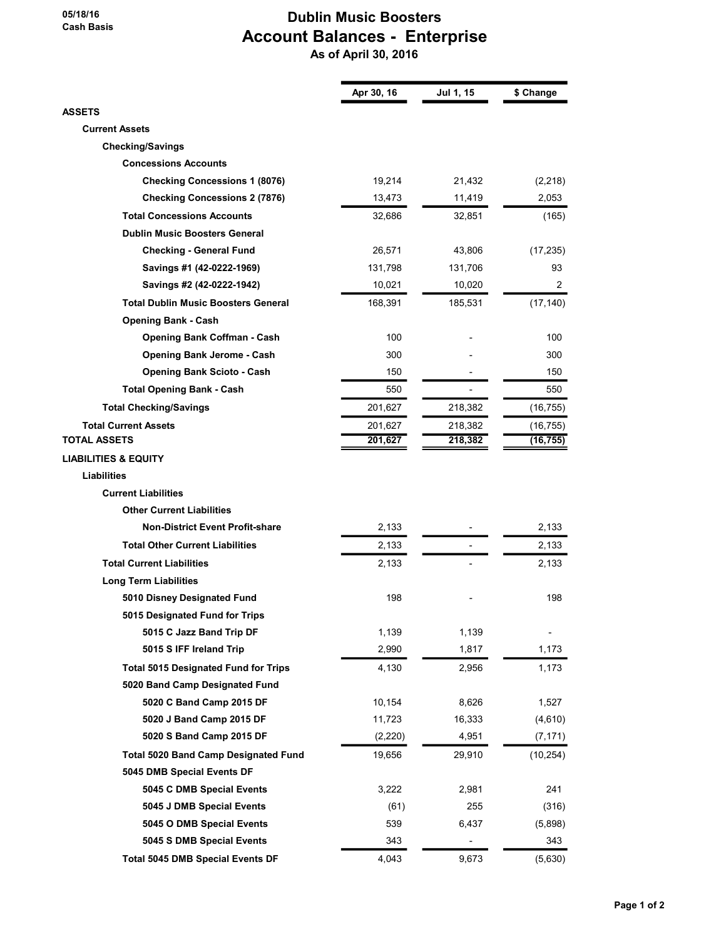## 05/18/16 Cash Basis

## Dublin Music Boosters Account Balances - Enterprise As of April 30, 2016

|                                             | Apr 30, 16 | Jul 1, 15 | \$ Change      |
|---------------------------------------------|------------|-----------|----------------|
| <b>ASSETS</b>                               |            |           |                |
| <b>Current Assets</b>                       |            |           |                |
| <b>Checking/Savings</b>                     |            |           |                |
| <b>Concessions Accounts</b>                 |            |           |                |
| <b>Checking Concessions 1 (8076)</b>        | 19,214     | 21,432    | (2,218)        |
| <b>Checking Concessions 2 (7876)</b>        | 13,473     | 11,419    | 2,053          |
| <b>Total Concessions Accounts</b>           | 32,686     | 32,851    | (165)          |
| <b>Dublin Music Boosters General</b>        |            |           |                |
| <b>Checking - General Fund</b>              | 26,571     | 43,806    | (17, 235)      |
| Savings #1 (42-0222-1969)                   | 131,798    | 131,706   | 93             |
| Savings #2 (42-0222-1942)                   | 10,021     | 10,020    | $\overline{2}$ |
| Total Dublin Music Boosters General         | 168,391    | 185,531   | (17, 140)      |
| <b>Opening Bank - Cash</b>                  |            |           |                |
| <b>Opening Bank Coffman - Cash</b>          | 100        |           | 100            |
| <b>Opening Bank Jerome - Cash</b>           | 300        |           | 300            |
| <b>Opening Bank Scioto - Cash</b>           | 150        |           | 150            |
| <b>Total Opening Bank - Cash</b>            | 550        |           | 550            |
| <b>Total Checking/Savings</b>               | 201,627    | 218,382   | (16, 755)      |
| <b>Total Current Assets</b>                 | 201,627    | 218,382   | (16, 755)      |
| <b>TOTAL ASSETS</b>                         | 201,627    | 218,382   | (16, 755)      |
| <b>LIABILITIES &amp; EQUITY</b>             |            |           |                |
| <b>Liabilities</b>                          |            |           |                |
| <b>Current Liabilities</b>                  |            |           |                |
| <b>Other Current Liabilities</b>            |            |           |                |
| <b>Non-District Event Profit-share</b>      | 2,133      |           | 2,133          |
| <b>Total Other Current Liabilities</b>      | 2,133      |           | 2,133          |
| <b>Total Current Liabilities</b>            | 2,133      |           | 2,133          |
| <b>Long Term Liabilities</b>                |            |           |                |
| 5010 Disney Designated Fund                 | 198        |           | 198            |
| 5015 Designated Fund for Trips              |            |           |                |
| 5015 C Jazz Band Trip DF                    | 1,139      | 1,139     |                |
| 5015 S IFF Ireland Trip                     | 2,990      | 1,817     | 1,173          |
| <b>Total 5015 Designated Fund for Trips</b> | 4,130      | 2,956     | 1,173          |
| 5020 Band Camp Designated Fund              |            |           |                |
| 5020 C Band Camp 2015 DF                    | 10,154     | 8,626     | 1,527          |
| 5020 J Band Camp 2015 DF                    | 11,723     | 16,333    | (4,610)        |
| 5020 S Band Camp 2015 DF                    | (2, 220)   | 4,951     | (7, 171)       |
| <b>Total 5020 Band Camp Designated Fund</b> | 19,656     | 29,910    | (10, 254)      |
| 5045 DMB Special Events DF                  |            |           |                |
| 5045 C DMB Special Events                   | 3,222      | 2,981     | 241            |
| 5045 J DMB Special Events                   | (61)       | 255       | (316)          |
| 5045 O DMB Special Events                   | 539        | 6,437     | (5,898)        |
| 5045 S DMB Special Events                   | 343        |           | 343            |
| <b>Total 5045 DMB Special Events DF</b>     | 4,043      | 9,673     | (5,630)        |